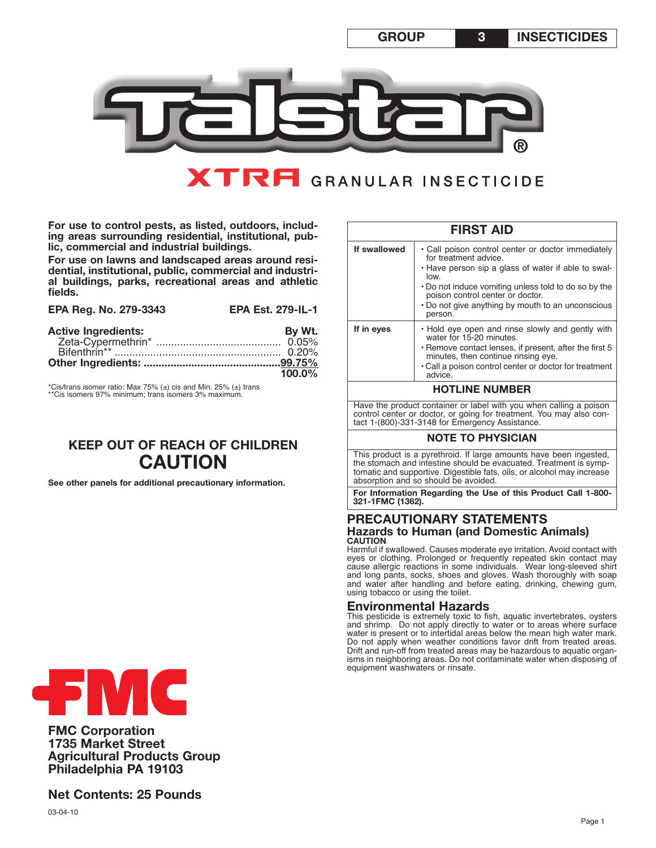

# **XTRFI** GRANULAR INSECTICIDE

**For use to control pests, as listed, outdoors, including areas surrounding residential, institutional, public, commercial and industrial buildings.**

For use on lawns and landscaped areas around resi-<br>dential, institutional, public, commercial and industri-<br>al buildings, parks, recreational areas and athletic **fields.**

| EPA Reg. No. 279-3343      | <b>EPA Est. 279-IL-1</b> |
|----------------------------|--------------------------|
| <b>Active Ingredients:</b> | By Wt.                   |
|                            | $100.0\%$                |
|                            |                          |

\*Cis/trans isomer ratio: Max 75% (±) cis and Min. 25% (±) trans \*\*Cis isomers 97% minimum; trans isomers 3% maximum.

## **KEEP OUT OF REACH OF CHILDREN CAUTION**

**See other panels for additional precautionary information.**

| <b>FIRST AID</b>                                                                                                                                                                             |                                                                                                                                                                                                                                                                                                       |  |  |  |
|----------------------------------------------------------------------------------------------------------------------------------------------------------------------------------------------|-------------------------------------------------------------------------------------------------------------------------------------------------------------------------------------------------------------------------------------------------------------------------------------------------------|--|--|--|
| If swallowed                                                                                                                                                                                 | • Call poison control center or doctor immediately<br>for treatment advice.<br>• Have person sip a glass of water if able to swal-<br>low<br>. Do not induce vomiting unless told to do so by the<br>poison control center or doctor.<br>. Do not give anything by mouth to an unconscious<br>person. |  |  |  |
| If in eyes                                                                                                                                                                                   | . Hold eye open and rinse slowly and gently with<br>water for 15-20 minutes.<br>• Remove contact lenses, if present, after the first 5<br>minutes, then continue rinsing eye.<br>• Call a poison control center or doctor for treatment<br>advice.                                                    |  |  |  |
| <b>HOTLINE NUMBER</b>                                                                                                                                                                        |                                                                                                                                                                                                                                                                                                       |  |  |  |
| Have the product container or label with you when calling a poison<br>control center or doctor, or going for treatment. You may also con-<br>tact 1-(800)-331-3148 for Emergency Assistance. |                                                                                                                                                                                                                                                                                                       |  |  |  |
| <b>NOTE TO PHYSICIAN</b>                                                                                                                                                                     |                                                                                                                                                                                                                                                                                                       |  |  |  |
|                                                                                                                                                                                              | This product is a pyrethroid. If large amounts have been ingested,                                                                                                                                                                                                                                    |  |  |  |

the stomach and intestine should be evacuated. Treatment is symptomatic and supportive. Digestible fats, oils, or alcohol may increase absorption and so should be avoided.

**For Information Regarding the Use of this Product Call 1-800- 321-1FMC (1362).**

#### **PRECAUTIONARY STATEMENTS Hazards to Human (and Domestic Animals) CAUTION**

Harmful if swallowed. Causes moderate eye irritation. Avoid contact with eyes or clothing. Prolonged or frequently repeated skin contact may cause allergic reactions in some individuals. Wear long-sleeved shirt and long pants, socks, shoes and gloves. Wash thoroughly with soap and water after handling and before eating, drinking, chewing gum, using tobacco or using the toilet.

## **Environmental Hazards**

This pesticide is extremely toxic to fish, aquatic invertebrates, oysters and shrimp. Do not apply directly to water or to areas where surface water is present or to intertidal areas below the mean high water mark. Do not apply when weather conditions favor drift from treated areas. Drift and run-off from treated areas may be hazardous to aquatic organisms in neighboring areas. Do not contaminate water when disposing of equipment washwaters or rinsate.



**FMC Corporation 1735 Market Street Agricultural Products Group Philadelphia PA 19103**

**Net Contents: 25 Pounds**

03-04-10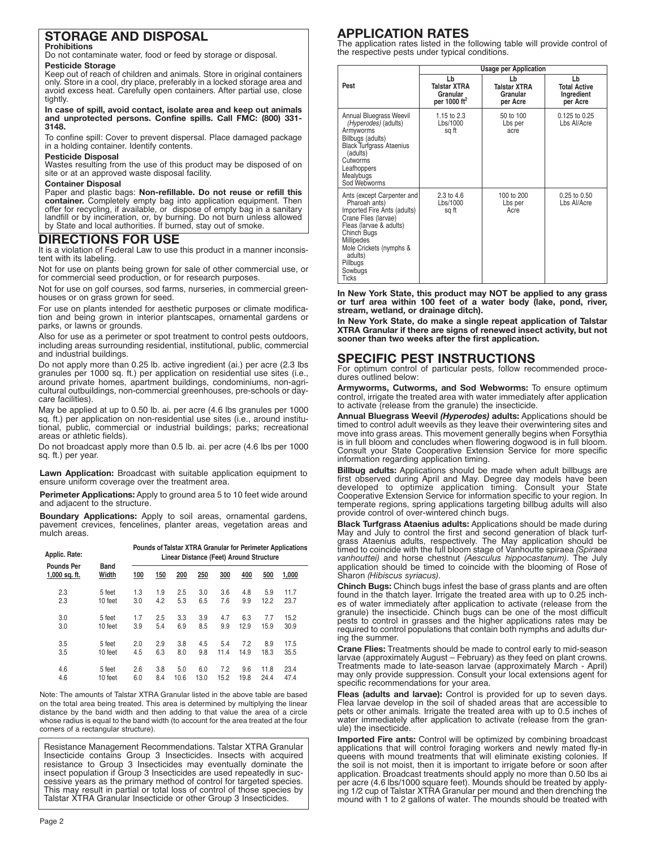#### **STORAGE AND DISPOSAL Prohibitions**

Do not contaminate water, food or feed by storage or disposal.

**Pesticide Storage**

Keep out of reach of children and animals. Store in original containers only. Store in a cool, dry place, preferably in a locked storage area and avoid excess heat. Carefully open containers. After partial use, close tightly.

**In case of spill, avoid contact, isolate area and keep out animals and unprotected persons. Confine spills. Call FMC: (800) 331- 3148.**

To confine spill: Cover to prevent dispersal. Place damaged package in a holding container. Identify contents.

#### **Pesticide Disposal**

Wastes resulting from the use of this product may be disposed of on site or at an approved waste disposal facility.

#### **Container Disposal**

Paper and plastic bags: **Non-refillable. Do not reuse or refill this container.** Completely empty bag into application equipment. Then offer for recycling, if available, or dispose of empty bag in a sanitary landfill or by incineration, or, by burning. Do not burn unless allowed by State and local authorities. If burned, stay out of smoke.

## **DIRECTIONS FOR USE**

It is a violation of Federal Law to use this product in a manner inconsistent with its labeling.

Not for use on plants being grown for sale of other commercial use, or for commercial seed production, or for research purposes.

Not for use on golf courses, sod farms, nurseries, in commercial greenhouses or on grass grown for seed.

For use on plants intended for aesthetic purposes or climate modification and being grown in interior plantscapes, ornamental gardens or parks, or lawns or grounds.

Also for use as a perimeter or spot treatment to control pests outdoors, including areas surrounding residential, institutional, public, commercial and industrial buildings.

Do not apply more than 0.25 lb. active ingredient (ai.) per acre (2.3 lbs granules per 1000 sq. ft.) per application on residential use sites (i.e., around private homes, apartment buildings, condominiums, non-agricultural outbuildings, non-commercial greenhouses, pre-schools or daycare facilities).

May be applied at up to 0.50 lb. ai. per acre (4.6 lbs granules per 1000 sq. ft.) per application on non-residential use sites (i.e., around institutional, public, commercial or industrial buildings; parks; recreational areas or athletic fields).

Do not broadcast apply more than 0.5 lb. ai. per acre (4.6 lbs per 1000 sq. ft.) per year.

**Lawn Application:** Broadcast with suitable application equipment to ensure uniform coverage over the treatment area.

**Perimeter Applications:** Apply to ground area 5 to 10 feet wide around and adjacent to the structure.

**Boundary Applications:** Apply to soil areas, ornamental gardens, pavement crevices, fencelines, planter areas, vegetation areas and mulch areas.

| Applic. Rate:                      |               | Pounds of Talstar XTRA Granular for Perimeter Applications<br>Linear Distance (Feet) Around Structure |     |      |      |      |      |      |       |  |
|------------------------------------|---------------|-------------------------------------------------------------------------------------------------------|-----|------|------|------|------|------|-------|--|
| <b>Pounds Per</b><br>1,000 sq. ft. | Band<br>Width | 100                                                                                                   | 150 | 200  | 250  | 300  | 400  | 500  | 1,000 |  |
| 2.3                                | 5 feet        | 1.3                                                                                                   | 1.9 | 2.5  | 3.0  | 3.6  | 4.8  | 5.9  | 11.7  |  |
| 2.3                                | 10 feet       | 3.0                                                                                                   | 4.2 | 5.3  | 6.5  | 7.6  | 9.9  | 12.2 | 23.7  |  |
| 3.0                                | 5 feet        | 1.7                                                                                                   | 2.5 | 3.3  | 3.9  | 4.7  | 6.3  | 7.7  | 15.2  |  |
| 3.0                                | 10 feet       | 3.9                                                                                                   | 5.4 | 6.9  | 8.5  | 9.9  | 12.9 | 15.9 | 30.9  |  |
| 3.5                                | 5 feet        | 2.0                                                                                                   | 2.9 | 3.8  | 4.5  | 5.4  | 7.2  | 8.9  | 17.5  |  |
| 3.5                                | 10 feet       | 4.5                                                                                                   | 6.3 | 8.0  | 9.8  | 11.4 | 14.9 | 18.3 | 35.5  |  |
| 4.6                                | 5 feet        | 2.6                                                                                                   | 3.8 | 5.0  | 6.0  | 7.2  | 9.6  | 11.8 | 23.4  |  |
| 4.6                                | 10 feet       | 6.0                                                                                                   | 8.4 | 10.6 | 13.0 | 15.2 | 19.8 | 24.4 | 47.4  |  |

Note: The amounts of Talstar XTRA Granular listed in the above table are based on the total area being treated. This area is determined by multiplying the linear distance by the band width and then adding to that value the area of a circle whose radius is equal to the band width (to account for the area treated at the four corners of a rectangular structure).

Resistance Management Recommendations. Talstar XTRA Granular Insecticide contains Group 3 Insecticides. Insects with acquired resistance to Group 3 Insecticides may eventually dominate the insect population if Group 3 Insecticides are used repeatedly in successive years as the primary method of control for targeted species. This may result in partial or total loss of control of those species by Talstar XTRA Granular Insecticide or other Group 3 Insecticides.

## **APPLICATION RATES**

The application rates listed in the following table will provide control of the respective pests under typical conditions.

|                                                                                                                                                                                                                                                | <b>Usage per Application</b>                                      |                                            |                                                     |  |  |  |  |
|------------------------------------------------------------------------------------------------------------------------------------------------------------------------------------------------------------------------------------------------|-------------------------------------------------------------------|--------------------------------------------|-----------------------------------------------------|--|--|--|--|
| Pest                                                                                                                                                                                                                                           | Lb<br><b>Talstar XTRA</b><br>Granular<br>per 1000 ft <sup>2</sup> | Lb<br>Talstar XTRA<br>Granular<br>per Acre | Lb<br><b>Total Active</b><br>Ingredient<br>per Acre |  |  |  |  |
| Annual Bluegrass Weevil<br>(Hyperodes) (adults)<br>Armyworms<br>Billbugs (adults)<br><b>Black Turfgrass Ataenius</b><br>(adults)<br>Cutworms<br>Leafhoppers<br>Mealybugs<br>Sod Webworms                                                       | 1.15 to 2.3<br>Lbs/1000<br>sg ft                                  | 50 to 100<br>Lbs per<br>acre               | 0.125 to 0.25<br>Lbs Al/Acre                        |  |  |  |  |
| Ants (except Carpenter and<br>Pharoah ants)<br>Imported Fire Ants (adults)<br>Crane Flies (larvae)<br>Fleas (larvae & adults)<br><b>Chinch Bugs</b><br>Millipedes<br>Mole Crickets (nymphs &<br>adults)<br>Pillbugs<br>Sowbugs<br><b>Ticks</b> | $2.3 \text{ to } 4.6$<br>Lbs/1000<br>sg ft                        | 100 to 200<br>Lbs per<br>Acre              | $0.25$ to $0.50$<br>Lbs Al/Acre                     |  |  |  |  |

**In New York State, this product may NOT be applied to any grass or turf area within 100 feet of a water body (lake, pond, river, stream, wetland, or drainage ditch).**

**In New York State, do make a single repeat application of Talstar XTRA Granular if there are signs of renewed insect activity, but not sooner than two weeks after the first application.**

## **SPECIFIC PEST INSTRUCTIONS**

For optimum control of particular pests, follow recommended procedures outlined below:

**Armyworms, Cutworms, and Sod Webworms:** To ensure optimum control, irrigate the treated area with water immediately after application to activate (release from the granule) the insecticide.

**Annual Bluegrass Weevil** *(Hyperodes)* **adults:** Applications should be timed to control adult weevils as they leave their overwintering sites and move into grass areas. This movement generally begins when Forsythia is in full bloom and concludes when flowering dogwood is in full bloom. Consult your State Cooperative Extension Service for more specific information regarding application timing.

**Billbug adults:** Applications should be made when adult billbugs are first observed during April and May. Degree day models have been developed to optimize application timing. Consult your State Cooperative Extension Service for information specific to your region. In temperate regions, spring applications targeting billbug adults will also provide control of over-wintered chinch bugs.

**Black Turfgrass Ataenius adults:** Applications should be made during May and July to control the first and second generation of black turfgrass Ataenius adults, respectively. The May application should be timed to coincide with the full bloom stage of Vanhoutte spiraea *(Spiraea vanhouttei)* and horse chestnut *(Aesculus hippocastanum)*. The July application should be timed to coincide with the blooming of Rose of Sharon *(Hibiscus syriacus)*.

**Chinch Bugs:** Chinch bugs infest the base of grass plants and are often found in the thatch layer. Irrigate the treated area with up to 0.25 inches of water immediately after application to activate (release from the granule) the insecticide. Chinch bugs can be one of the most difficult pests to control in grasses and the higher applications rates may be required to control populations that contain both nymphs and adults during the summer.

**Crane Flies:** Treatments should be made to control early to mid-season larvae (approximately August – February) as they feed on plant crowns. Treatments made to late-season larvae (approximately March - April) may only provide suppression. Consult your local extensions agent for specific recommendations for your area.

**Fleas (adults and larvae):** Control is provided for up to seven days. Flea larvae develop in the soil of shaded areas that are accessible to pets or other animals. Irrigate the treated area with up to 0.5 inches of water immediately after application to activate (release from the granule) the insecticide.

**Imported Fire ants:** Control will be optimized by combining broadcast applications that will control foraging workers and newly mated fly-in queens with mound treatments that will eliminate existing colonies. If the soil is not moist, then it is important to irrigate before or soon after application. Broadcast treatments should apply no more than 0.50 lbs ai per acre (4.6 lbs/1000 square feet). Mounds should be treated by applying 1/2 cup of Talstar XTRA Granular per mound and then drenching the mound with 1 to 2 gallons of water. The mounds should be treated with